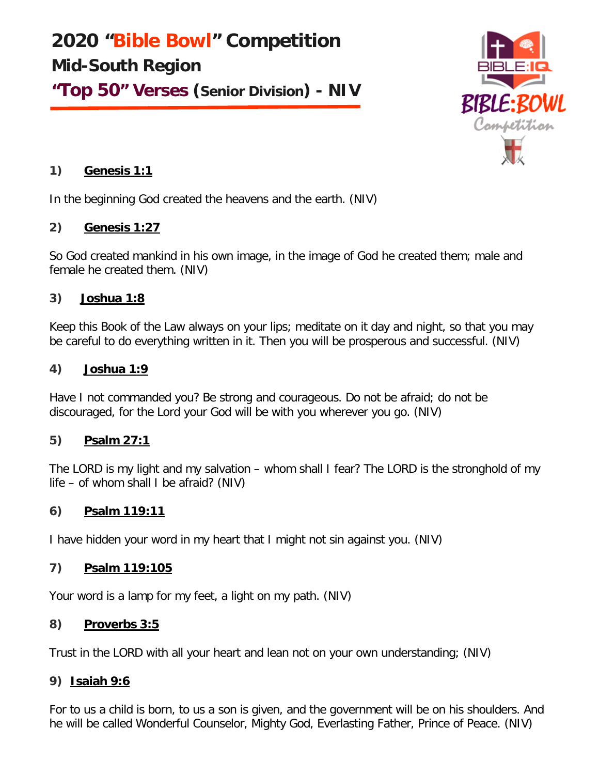**2020 "Bible Bowl" Competition Mid-South Region "Top 50" Verses (Senior Division) - NIV**



## **1) Genesis 1:1**

In the beginning God created the heavens and the earth. (NIV)

## **2) Genesis 1:27**

So God created mankind in his own image, in the image of God he created them; male and female he created them. (NIV)

## **3) Joshua 1:8**

Keep this Book of the Law always on your lips; meditate on it day and night, so that you may be careful to do everything written in it. Then you will be prosperous and successful. (NIV)

## **4) Joshua 1:9**

Have I not commanded you? Be strong and courageous. Do not be afraid; do not be discouraged, for the Lord your God will be with you wherever you go. (NIV)

## **5) Psalm 27:1**

The LORD is my light and my salvation – whom shall I fear? The LORD is the stronghold of my life – of whom shall I be afraid? (NIV)

## **6) Psalm 119:11**

I have hidden your word in my heart that I might not sin against you. (NIV)

## **7) Psalm 119:105**

Your word is a lamp for my feet, a light on my path. (NIV)

## **8) Proverbs 3:5**

Trust in the LORD with all your heart and lean not on your own understanding; (NIV)

## **9) Isaiah 9:6**

For to us a child is born, to us a son is given, and the government will be on his shoulders. And he will be called Wonderful Counselor, Mighty God, Everlasting Father, Prince of Peace. (NIV)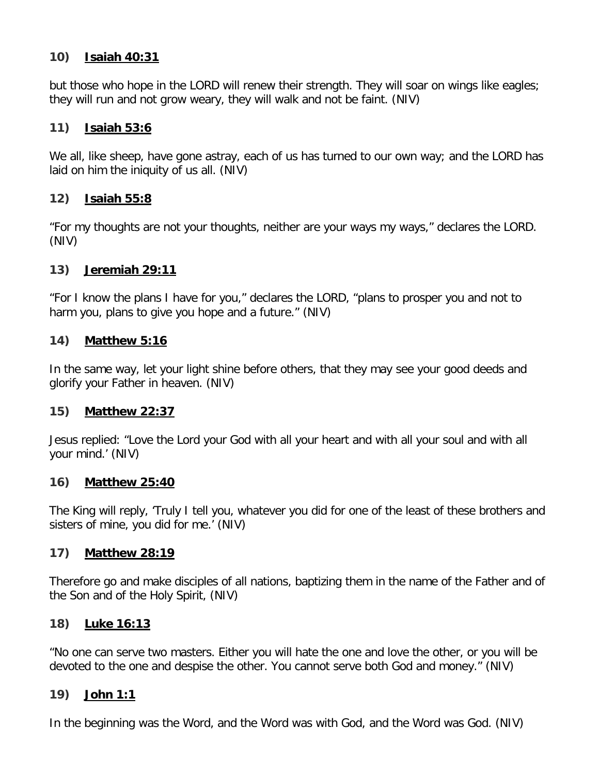### **10) Isaiah 40:31**

but those who hope in the LORD will renew their strength. They will soar on wings like eagles; they will run and not grow weary, they will walk and not be faint. (NIV)

### **11) Isaiah 53:6**

We all, like sheep, have gone astray, each of us has turned to our own way; and the LORD has laid on him the iniquity of us all. (NIV)

## **12) Isaiah 55:8**

"For my thoughts are not your thoughts, neither are your ways my ways," declares the LORD. (NIV)

### **13) Jeremiah 29:11**

"For I know the plans I have for you," declares the LORD, "plans to prosper you and not to harm you, plans to give you hope and a future." (NIV)

### **14) Matthew 5:16**

In the same way, let your light shine before others, that they may see your good deeds and glorify your Father in heaven. (NIV)

## **15) Matthew 22:37**

Jesus replied: "Love the Lord your God with all your heart and with all your soul and with all your mind.' (NIV)

#### **16) Matthew 25:40**

The King will reply, 'Truly I tell you, whatever you did for one of the least of these brothers and sisters of mine, you did for me.' (NIV)

## **17) Matthew 28:19**

Therefore go and make disciples of all nations, baptizing them in the name of the Father and of the Son and of the Holy Spirit, (NIV)

## **18) Luke 16:13**

"No one can serve two masters. Either you will hate the one and love the other, or you will be devoted to the one and despise the other. You cannot serve both God and money." (NIV)

#### **19) John 1:1**

In the beginning was the Word, and the Word was with God, and the Word was God. (NIV)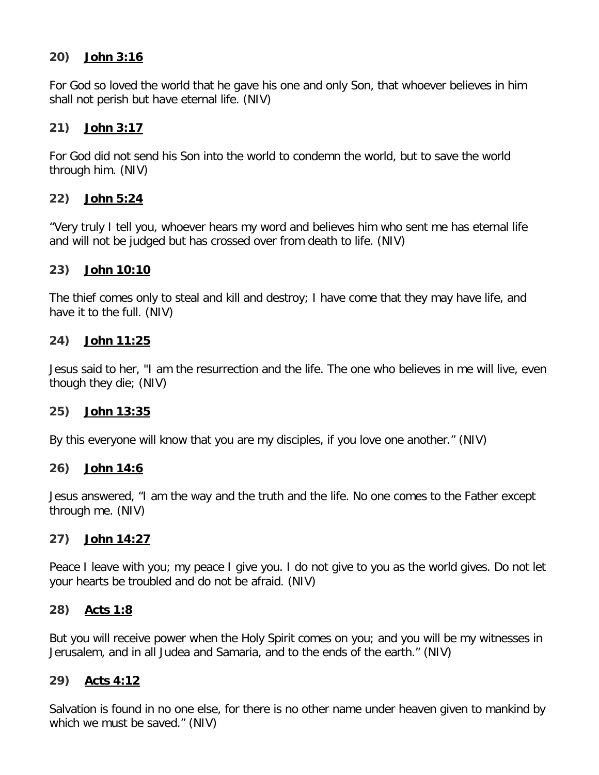## **20) John 3:16**

For God so loved the world that he gave his one and only Son, that whoever believes in him shall not perish but have eternal life. (NIV)

### **21) John 3:17**

For God did not send his Son into the world to condemn the world, but to save the world through him. (NIV)

## **22) John 5:24**

"Very truly I tell you, whoever hears my word and believes him who sent me has eternal life and will not be judged but has crossed over from death to life. (NIV)

### **23) John 10:10**

The thief comes only to steal and kill and destroy; I have come that they may have life, and have it to the full. (NIV)

### **24) John 11:25**

Jesus said to her, "I am the resurrection and the life. The one who believes in me will live, even though they die; (NIV)

#### **25) John 13:35**

By this everyone will know that you are my disciples, if you love one another." (NIV)

## **26) John 14:6**

Jesus answered, "I am the way and the truth and the life. No one comes to the Father except through me. (NIV)

#### **27) John 14:27**

Peace I leave with you; my peace I give you. I do not give to you as the world gives. Do not let your hearts be troubled and do not be afraid. (NIV)

#### **28) Acts 1:8**

But you will receive power when the Holy Spirit comes on you; and you will be my witnesses in Jerusalem, and in all Judea and Samaria, and to the ends of the earth." (NIV)

## **29) Acts 4:12**

Salvation is found in no one else, for there is no other name under heaven given to mankind by which we must be saved." (NIV)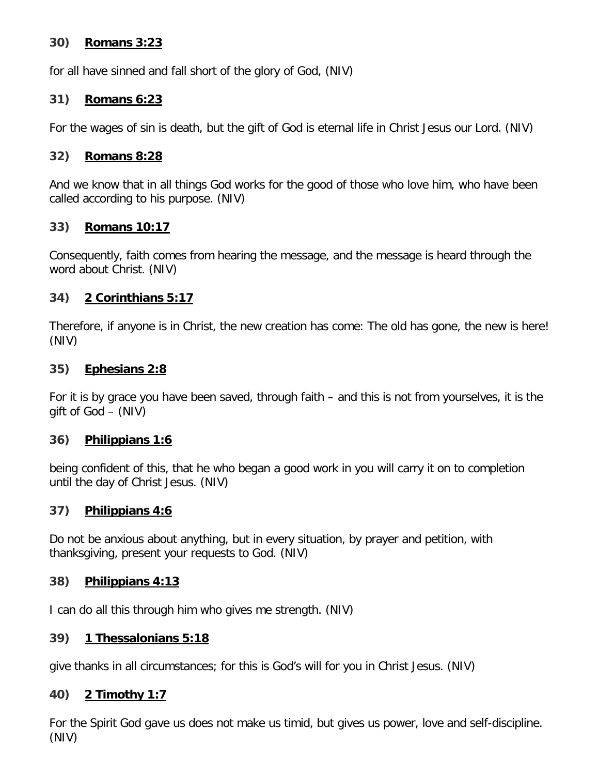### **30) Romans 3:23**

for all have sinned and fall short of the glory of God, (NIV)

### **31) Romans 6:23**

For the wages of sin is death, but the gift of God is eternal life in Christ Jesus our Lord. (NIV)

### **32) Romans 8:28**

And we know that in all things God works for the good of those who love him, who have been called according to his purpose. (NIV)

### **33) Romans 10:17**

Consequently, faith comes from hearing the message, and the message is heard through the word about Christ. (NIV)

# **34) 2 Corinthians 5:17**

Therefore, if anyone is in Christ, the new creation has come: The old has gone, the new is here! (NIV)

### **35) Ephesians 2:8**

For it is by grace you have been saved, through faith – and this is not from yourselves, it is the gift of God – (NIV)

## **36) Philippians 1:6**

being confident of this, that he who began a good work in you will carry it on to completion until the day of Christ Jesus. (NIV)

## **37) Philippians 4:6**

Do not be anxious about anything, but in every situation, by prayer and petition, with thanksgiving, present your requests to God. (NIV)

#### **38) Philippians 4:13**

I can do all this through him who gives me strength. (NIV)

#### **39) 1 Thessalonians 5:18**

give thanks in all circumstances; for this is God's will for you in Christ Jesus. (NIV)

#### **40) 2 Timothy 1:7**

For the Spirit God gave us does not make us timid, but gives us power, love and self-discipline. (NIV)